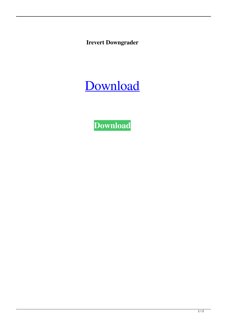**Irevert Downgrader**

[Download](http://evacdir.com/compeers/ZG93bmxvYWR8Y2w1TVhSM05IeDhNVFkxTWpjME1EZzJObng4TWpVM05IeDhLRTBwSUhKbFlXUXRZbXh2WnlCYlJtRnpkQ0JIUlU1ZA/paving/SXJldmVydCBkb3duZ3JhZGVySXJ?sedran=rigel.furs)

**[Download](http://evacdir.com/compeers/ZG93bmxvYWR8Y2w1TVhSM05IeDhNVFkxTWpjME1EZzJObng4TWpVM05IeDhLRTBwSUhKbFlXUXRZbXh2WnlCYlJtRnpkQ0JIUlU1ZA/paving/SXJldmVydCBkb3duZ3JhZGVySXJ?sedran=rigel.furs)**